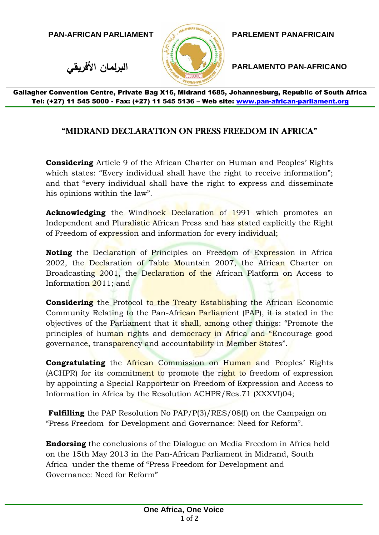**PAN-AFRICAN PARLIAMENT PARLEMENT PANAFRICAIN**



**األفريقي البرلمان PARLAMENTO PAN-AFRICANO**

Gallagher Convention Centre, Private Bag X16, Midrand 1685, Johannesburg, Republic of South Africa Tel: (+27) 11 545 5000 - Fax: (+27) 11 545 5136 - Web site: www.pan-african-parliament.org

## "MIDRAND DECLARATION ON PRESS FREEDOM IN AFRICA"

**Considering** Article 9 of the African Charter on Human and Peoples' Rights which states: "Every individual shall have the right to receive information"; and that "every individual shall have the right to express and disseminate his opinions within the law".

**Acknowledging** the Windhoek Declaration of 1991 which promotes an Independent and Pluralistic African Press and has stated explicitly the Right of Freedom of expression and information for every individual;

**Noting** the Declaration of Principles on Freedom of Expression in Africa 2002, the Declaration of Table Mountain 2007, the African Charter on Broadcasting 2001, the Declaration of the African Platform on Access to Information 2011; and

**Considering** the Protocol to the Treaty Establishing the African Economic Community Relating to the Pan-African Parliament (PAP), it is stated in the objectives of the Parliament that it shall, among other things: "Promote the principles of human rights and democracy in Africa and "Encourage good governance, transparency and accountability in Member States".

**Congratulating** the African Commission on Human and Peoples' Rights (ACHPR) for its commitment to promote the right to freedom of expression by appointing a Special Rapporteur on Freedom of Expression and Access to Information in Africa by the Resolution ACHPR/Res.71 (XXXVI)04;

**Fulfilling** the PAP Resolution No PAP/P(3)/RES/08(I) on the Campaign on "Press Freedom for Development and Governance: Need for Reform".

**Endorsing** the conclusions of the Dialogue on Media Freedom in Africa held on the 15th May 2013 in the Pan-African Parliament in Midrand, South Africa under the theme of "Press Freedom for Development and Governance: Need for Reform"